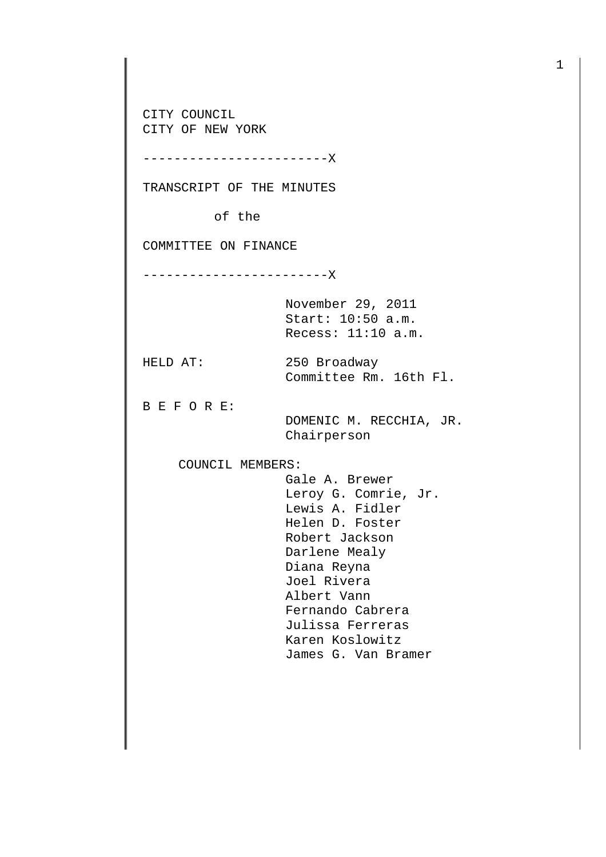CITY COUNCIL CITY OF NEW YORK

------------------------X

TRANSCRIPT OF THE MINUTES

of the

COMMITTEE ON FINANCE

------------------------X

November 29, 2011 Start: 10:50 a.m. Recess: 11:10 a.m.

HELD AT: 250 Broadway

B E F O R E:

 DOMENIC M. RECCHIA, JR. Chairperson

Committee Rm. 16th Fl.

COUNCIL MEMBERS:

 Gale A. Brewer Leroy G. Comrie, Jr. Lewis A. Fidler Helen D. Foster Robert Jackson Darlene Mealy Diana Reyna Joel Rivera Albert Vann Fernando Cabrera Julissa Ferreras Karen Koslowitz James G. Van Bramer

1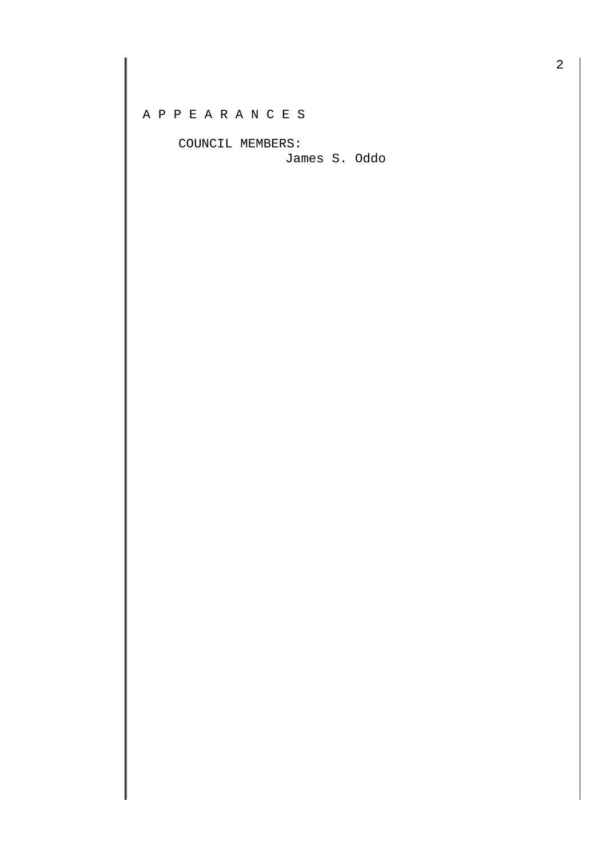COUNCIL MEMBERS:

James S. Oddo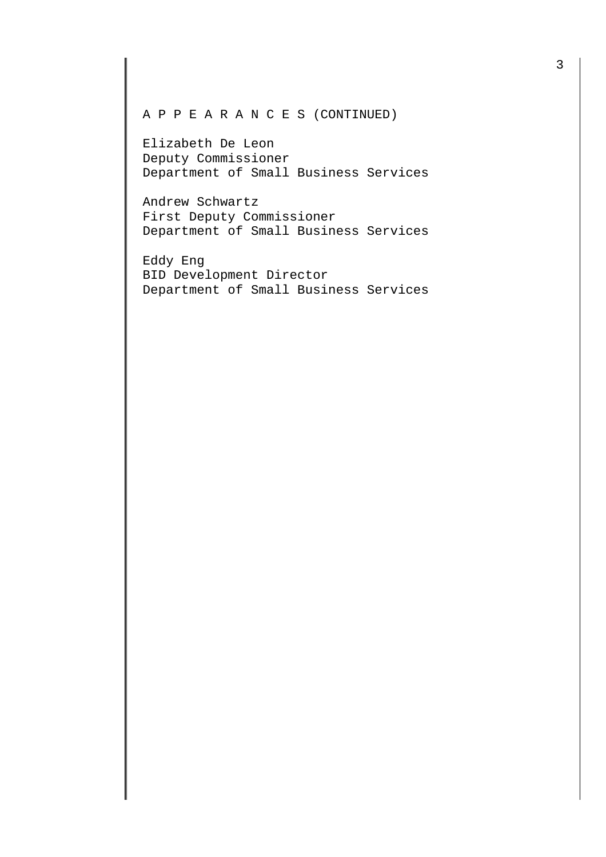## A P P E A R A N C E S (CONTINUED)

Elizabeth De Leon Deputy Commissioner Department of Small Business Services

Andrew Schwartz First Deputy Commissioner Department of Small Business Services

Eddy Eng BID Development Director Department of Small Business Services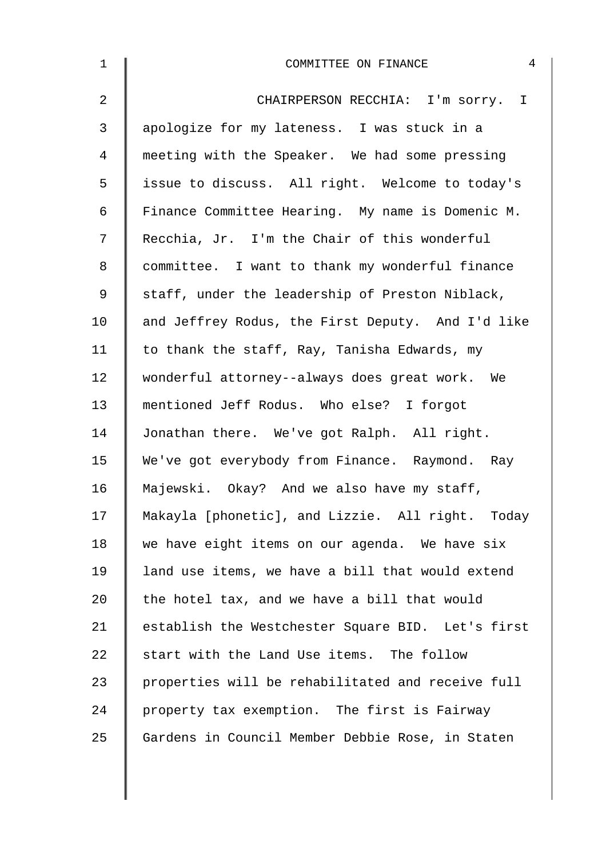| $\mathbf 1$    | 4<br>COMMITTEE ON FINANCE                         |
|----------------|---------------------------------------------------|
| 2              | CHAIRPERSON RECCHIA: I'm sorry. I                 |
| $\mathfrak{Z}$ | apologize for my lateness. I was stuck in a       |
| 4              | meeting with the Speaker. We had some pressing    |
| 5              | issue to discuss. All right. Welcome to today's   |
| 6              | Finance Committee Hearing. My name is Domenic M.  |
| 7              | Recchia, Jr. I'm the Chair of this wonderful      |
| 8              | committee. I want to thank my wonderful finance   |
| 9              | staff, under the leadership of Preston Niblack,   |
| 10             | and Jeffrey Rodus, the First Deputy. And I'd like |
| 11             | to thank the staff, Ray, Tanisha Edwards, my      |
| 12             | wonderful attorney--always does great work. We    |
| 13             | mentioned Jeff Rodus. Who else? I forgot          |
| 14             | Jonathan there. We've got Ralph. All right.       |
| 15             | We've got everybody from Finance. Raymond. Ray    |
| 16             | Majewski. Okay? And we also have my staff,        |
| 17             | Makayla [phonetic], and Lizzie. All right. Today  |
| 18             | we have eight items on our agenda. We have six    |
| 19             | land use items, we have a bill that would extend  |
| 20             | the hotel tax, and we have a bill that would      |
| 21             | establish the Westchester Square BID. Let's first |
| 22             | start with the Land Use items. The follow         |
| 23             | properties will be rehabilitated and receive full |
| 24             | property tax exemption. The first is Fairway      |
| 25             | Gardens in Council Member Debbie Rose, in Staten  |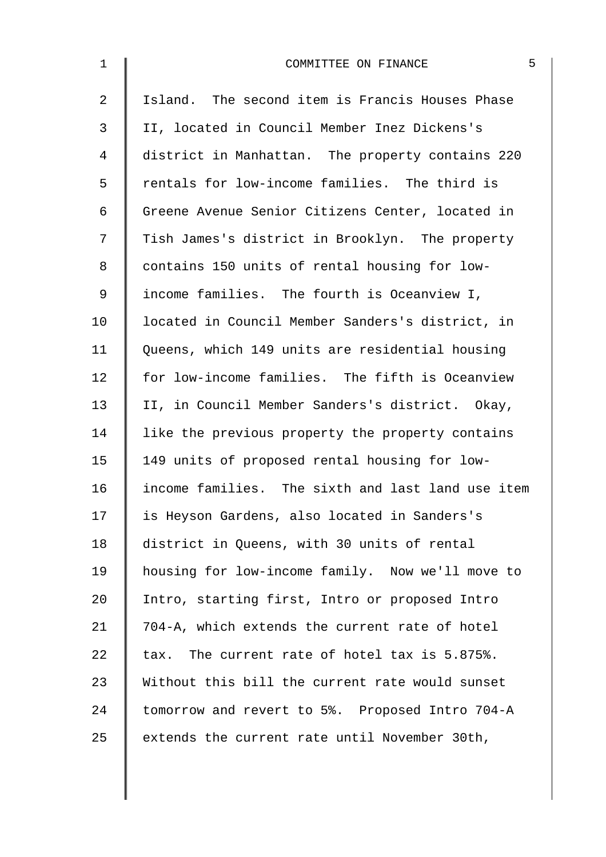| $\mathbf 1$ | 5<br>COMMITTEE ON FINANCE                         |
|-------------|---------------------------------------------------|
| 2           | Island. The second item is Francis Houses Phase   |
| 3           | II, located in Council Member Inez Dickens's      |
| 4           | district in Manhattan. The property contains 220  |
| 5           | rentals for low-income families. The third is     |
| 6           | Greene Avenue Senior Citizens Center, located in  |
| 7           | Tish James's district in Brooklyn. The property   |
| 8           | contains 150 units of rental housing for low-     |
| 9           | income families. The fourth is Oceanview I,       |
| 10          | located in Council Member Sanders's district, in  |
| 11          | Queens, which 149 units are residential housing   |
| 12          | for low-income families. The fifth is Oceanview   |
| 13          | II, in Council Member Sanders's district. Okay,   |
| 14          | like the previous property the property contains  |
| 15          | 149 units of proposed rental housing for low-     |
| 16          | income families. The sixth and last land use item |
| 17          | is Heyson Gardens, also located in Sanders's      |
| 18          | district in Queens, with 30 units of rental       |
| 19          | housing for low-income family. Now we'll move to  |
| 20          | Intro, starting first, Intro or proposed Intro    |
| 21          | 704-A, which extends the current rate of hotel    |
| 22          | tax. The current rate of hotel tax is 5.875%.     |
| 23          | Without this bill the current rate would sunset   |
| 24          | tomorrow and revert to 5%. Proposed Intro 704-A   |
| 25          | extends the current rate until November 30th,     |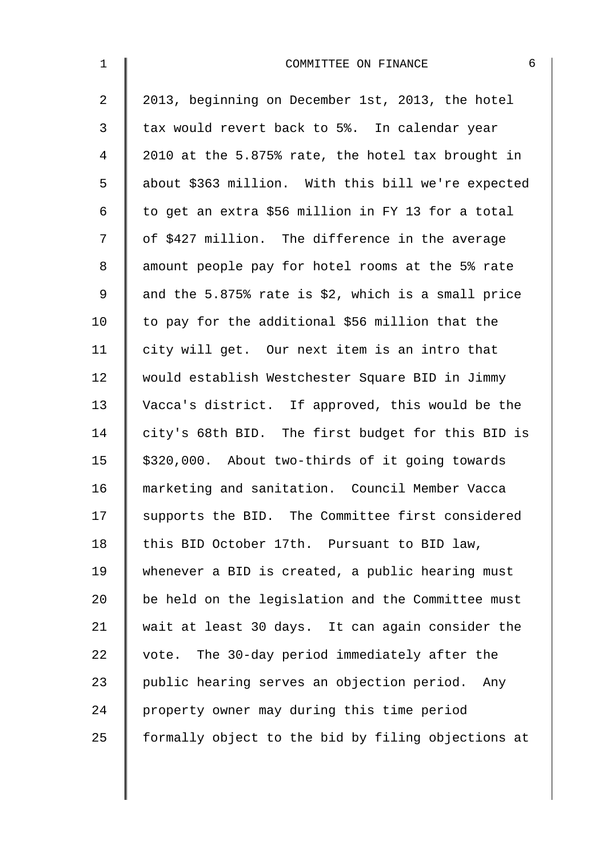| $\mathbf{1}$   | 6<br>COMMITTEE ON FINANCE                          |
|----------------|----------------------------------------------------|
| 2              | 2013, beginning on December 1st, 2013, the hotel   |
| $\mathfrak{Z}$ | tax would revert back to 5%. In calendar year      |
| $\overline{4}$ | 2010 at the 5.875% rate, the hotel tax brought in  |
| 5              | about \$363 million. With this bill we're expected |
| 6              | to get an extra \$56 million in FY 13 for a total  |
| 7              | of \$427 million. The difference in the average    |
| 8              | amount people pay for hotel rooms at the 5% rate   |
| 9              | and the 5.875% rate is \$2, which is a small price |
| 10             | to pay for the additional \$56 million that the    |
| 11             | city will get. Our next item is an intro that      |
| 12             | would establish Westchester Square BID in Jimmy    |
| 13             | Vacca's district. If approved, this would be the   |
| 14             | city's 68th BID. The first budget for this BID is  |
| 15             | \$320,000. About two-thirds of it going towards    |
| 16             | marketing and sanitation. Council Member Vacca     |
| 17             | supports the BID. The Committee first considered   |
| 18             | this BID October 17th. Pursuant to BID law,        |
| 19             | whenever a BID is created, a public hearing must   |
| 20             | be held on the legislation and the Committee must  |
| 21             | wait at least 30 days. It can again consider the   |
| 22             | vote. The 30-day period immediately after the      |
| 23             | public hearing serves an objection period. Any     |
| 24             | property owner may during this time period         |
| 25             | formally object to the bid by filing objections at |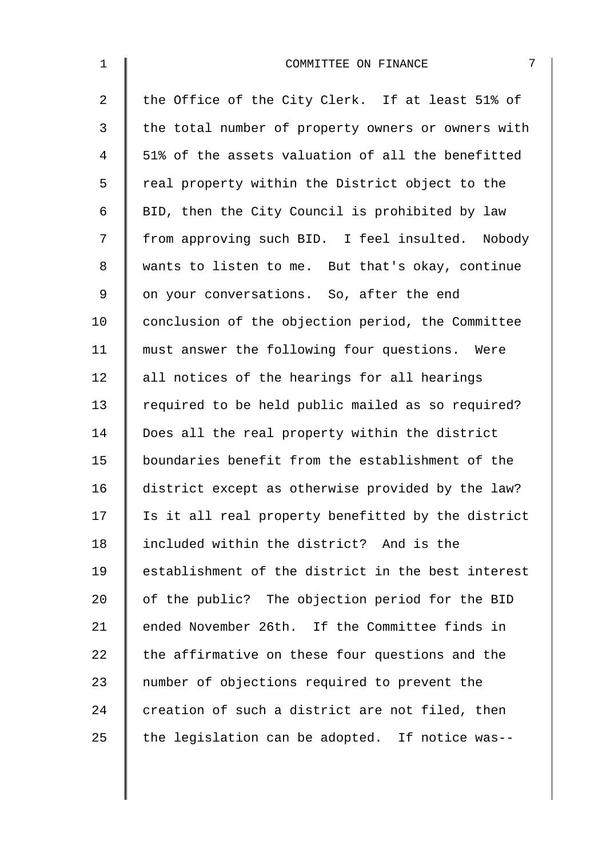| $\mathbf 1$    | 7<br>COMMITTEE ON FINANCE                          |
|----------------|----------------------------------------------------|
| $\overline{2}$ | the Office of the City Clerk. If at least 51% of   |
| 3              | the total number of property owners or owners with |
| $\overline{4}$ | 51% of the assets valuation of all the benefitted  |
| 5              | real property within the District object to the    |
| 6              | BID, then the City Council is prohibited by law    |
| 7              | from approving such BID. I feel insulted. Nobody   |
| 8              | wants to listen to me. But that's okay, continue   |
| $\mathsf 9$    | on your conversations. So, after the end           |
| 10             | conclusion of the objection period, the Committee  |
| 11             | must answer the following four questions. Were     |
| 12             | all notices of the hearings for all hearings       |
| 13             | required to be held public mailed as so required?  |
| 14             | Does all the real property within the district     |
| 15             | boundaries benefit from the establishment of the   |
| 16             | district except as otherwise provided by the law?  |
| 17             | Is it all real property benefitted by the district |
| 18             | included within the district? And is the           |
| 19             | establishment of the district in the best interest |
| 20             | of the public? The objection period for the BID    |
| 21             | ended November 26th. If the Committee finds in     |
| 22             | the affirmative on these four questions and the    |
| 23             | number of objections required to prevent the       |
| 24             | creation of such a district are not filed, then    |
| 25             | the legislation can be adopted. If notice was--    |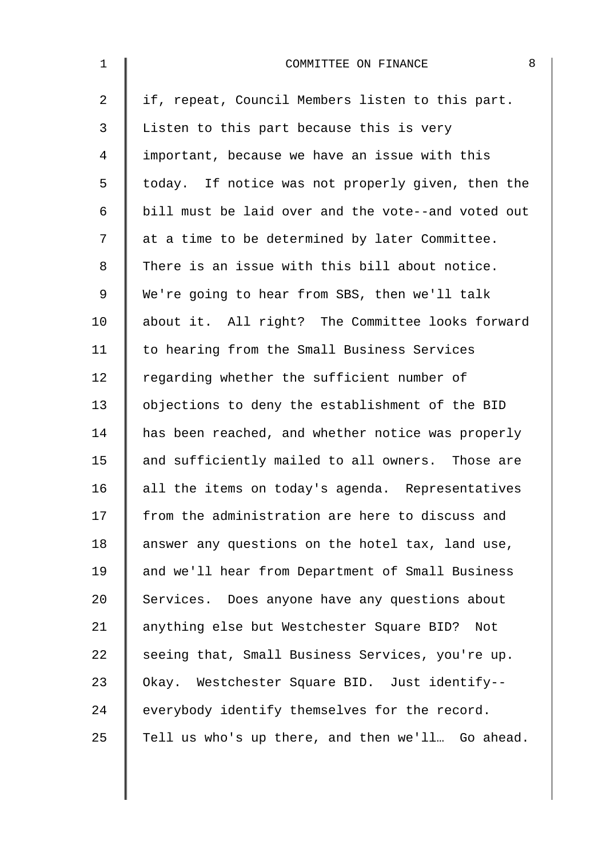| $\mathbf{1}$   | 8<br>COMMITTEE ON FINANCE                          |
|----------------|----------------------------------------------------|
| $\overline{a}$ | if, repeat, Council Members listen to this part.   |
| 3              | Listen to this part because this is very           |
| 4              | important, because we have an issue with this      |
| 5              | today. If notice was not properly given, then the  |
| 6              | bill must be laid over and the vote--and voted out |
| 7              | at a time to be determined by later Committee.     |
| 8              | There is an issue with this bill about notice.     |
| $\mathsf 9$    | We're going to hear from SBS, then we'll talk      |
| 10             | about it. All right? The Committee looks forward   |
| 11             | to hearing from the Small Business Services        |
| 12             | regarding whether the sufficient number of         |
| 13             | objections to deny the establishment of the BID    |
| 14             | has been reached, and whether notice was properly  |
| 15             | and sufficiently mailed to all owners. Those are   |
| 16             | all the items on today's agenda. Representatives   |
| 17             | from the administration are here to discuss and    |
| 18             | answer any questions on the hotel tax, land use,   |
| 19             | and we'll hear from Department of Small Business   |
| 20             | Services. Does anyone have any questions about     |
| 21             | anything else but Westchester Square BID? Not      |
| 22             | seeing that, Small Business Services, you're up.   |
| 23             | Okay. Westchester Square BID. Just identify--      |
| 24             | everybody identify themselves for the record.      |
| 25             | Tell us who's up there, and then we'll Go ahead.   |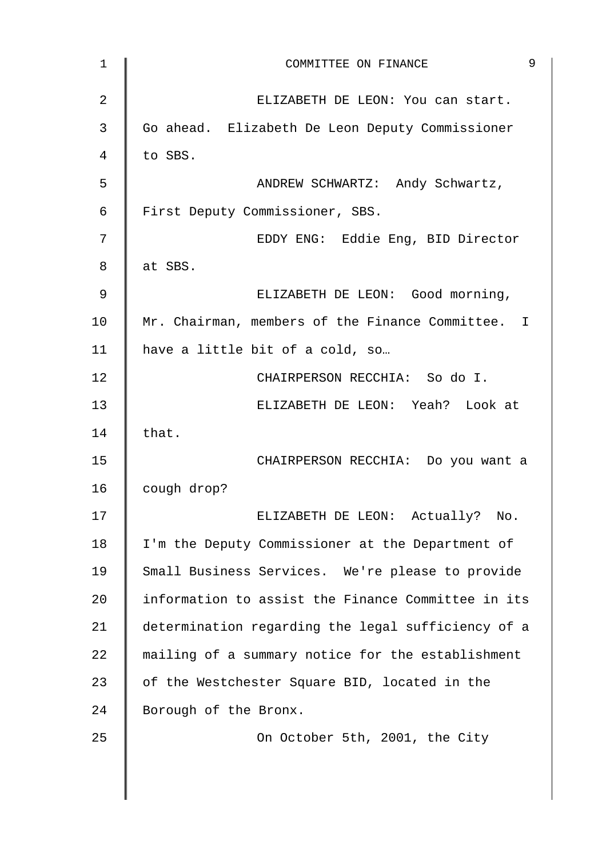| 1              | 9<br>COMMITTEE ON FINANCE                          |
|----------------|----------------------------------------------------|
| $\overline{2}$ | ELIZABETH DE LEON: You can start.                  |
| 3              | Go ahead. Elizabeth De Leon Deputy Commissioner    |
| 4              | to SBS.                                            |
| 5              | ANDREW SCHWARTZ: Andy Schwartz,                    |
| 6              | First Deputy Commissioner, SBS.                    |
| 7              | EDDY ENG: Eddie Eng, BID Director                  |
| 8              | at SBS.                                            |
| 9              | ELIZABETH DE LEON: Good morning,                   |
| 10             | Mr. Chairman, members of the Finance Committee. I  |
| 11             | have a little bit of a cold, so                    |
| 12             | CHAIRPERSON RECCHIA: So do I.                      |
| 13             | ELIZABETH DE LEON: Yeah? Look at                   |
| 14             | that.                                              |
| 15             | CHAIRPERSON RECCHIA: Do you want a                 |
| 16             | cough drop?                                        |
| 17             | Actually? No.<br>ELIZABETH DE LEON:                |
| 18             | I'm the Deputy Commissioner at the Department of   |
| 19             | Small Business Services. We're please to provide   |
| 20             | information to assist the Finance Committee in its |
| 21             | determination regarding the legal sufficiency of a |
| 22             | mailing of a summary notice for the establishment  |
| 23             | of the Westchester Square BID, located in the      |
| 24             | Borough of the Bronx.                              |
| 25             | On October 5th, 2001, the City                     |
|                |                                                    |
|                |                                                    |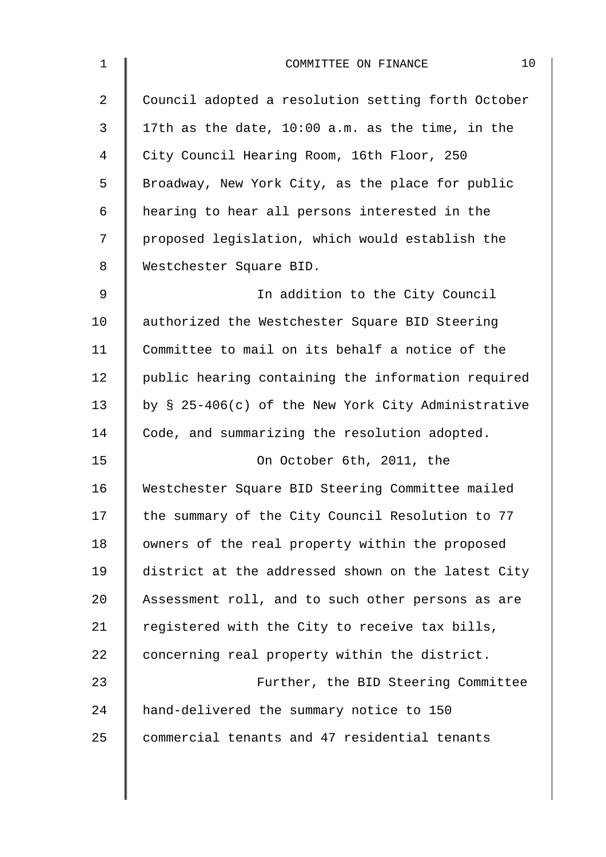| $\mathbf 1$    | 10<br>COMMITTEE ON FINANCE                         |
|----------------|----------------------------------------------------|
| $\overline{2}$ | Council adopted a resolution setting forth October |
| 3              | 17th as the date, 10:00 a.m. as the time, in the   |
| 4              | City Council Hearing Room, 16th Floor, 250         |
| 5              | Broadway, New York City, as the place for public   |
| 6              | hearing to hear all persons interested in the      |
| 7              | proposed legislation, which would establish the    |
| $8\,$          | Westchester Square BID.                            |
| 9              | In addition to the City Council                    |
| 10             | authorized the Westchester Square BID Steering     |
| 11             | Committee to mail on its behalf a notice of the    |
| 12             | public hearing containing the information required |
| 13             | by § 25-406(c) of the New York City Administrative |
| 14             | Code, and summarizing the resolution adopted.      |
| 15             | On October 6th, 2011, the                          |
| 16             | Westchester Square BID Steering Committee mailed   |
| 17             | the summary of the City Council Resolution to 77   |
| 18             | owners of the real property within the proposed    |
| 19             | district at the addressed shown on the latest City |
| 20             | Assessment roll, and to such other persons as are  |
| 21             | registered with the City to receive tax bills,     |
| 22             | concerning real property within the district.      |
| 23             | Further, the BID Steering Committee                |
| 24             | hand-delivered the summary notice to 150           |
| 25             | commercial tenants and 47 residential tenants      |
|                |                                                    |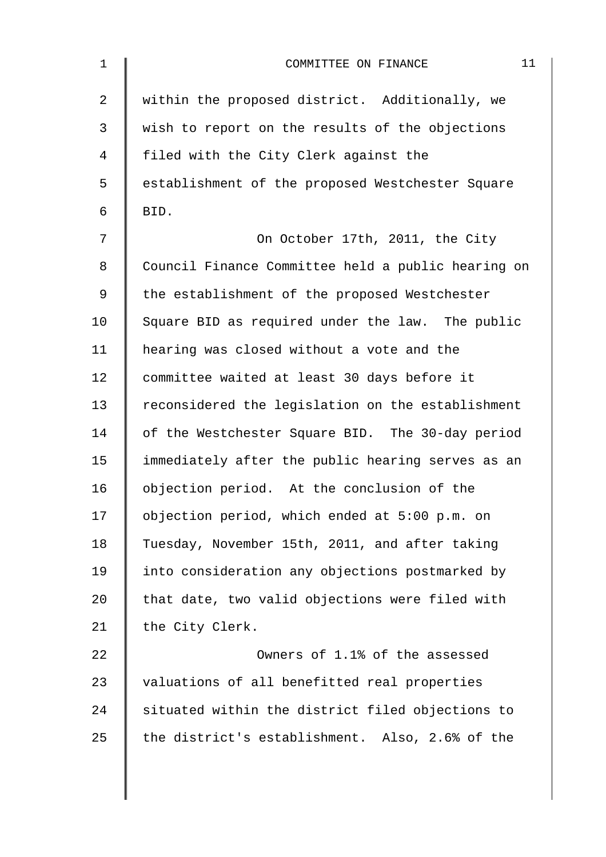| $\mathbf 1$    | 11<br>COMMITTEE ON FINANCE                         |
|----------------|----------------------------------------------------|
| $\overline{2}$ | within the proposed district. Additionally, we     |
| 3              | wish to report on the results of the objections    |
| 4              | filed with the City Clerk against the              |
| 5              | establishment of the proposed Westchester Square   |
| 6              | BID.                                               |
| 7              | On October 17th, 2011, the City                    |
| 8              | Council Finance Committee held a public hearing on |
| 9              | the establishment of the proposed Westchester      |
| 10             | Square BID as required under the law. The public   |
| 11             | hearing was closed without a vote and the          |
| 12             | committee waited at least 30 days before it        |
| 13             | reconsidered the legislation on the establishment  |
| 14             | of the Westchester Square BID. The 30-day period   |
| 15             | immediately after the public hearing serves as an  |
| 16             | objection period. At the conclusion of the         |
| 17             | objection period, which ended at 5:00 p.m. on      |
| 18             | Tuesday, November 15th, 2011, and after taking     |
| 19             | into consideration any objections postmarked by    |
| 20             | that date, two valid objections were filed with    |
| 21             | the City Clerk.                                    |
| 22             | Owners of 1.1% of the assessed                     |
| 23             | valuations of all benefitted real properties       |
| 24             | situated within the district filed objections to   |
| 25             | the district's establishment. Also, 2.6% of the    |
|                |                                                    |
|                |                                                    |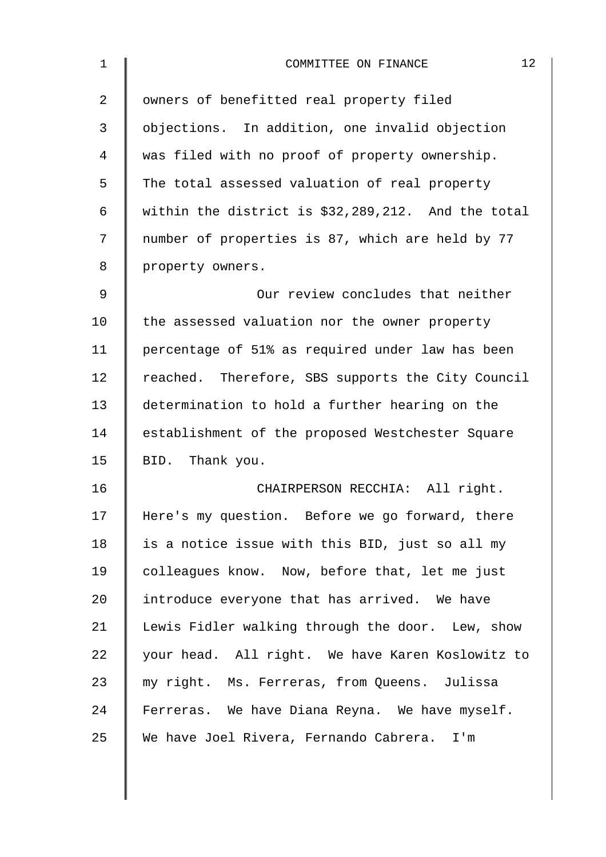| 1              | 12<br>COMMITTEE ON FINANCE                           |
|----------------|------------------------------------------------------|
| $\overline{2}$ | owners of benefitted real property filed             |
| 3              | objections. In addition, one invalid objection       |
| 4              | was filed with no proof of property ownership.       |
| 5              | The total assessed valuation of real property        |
| 6              | within the district is $$32,289,212$ . And the total |
| 7              | number of properties is 87, which are held by 77     |
| 8              | property owners.                                     |
| 9              | Our review concludes that neither                    |
| 10             | the assessed valuation nor the owner property        |
| 11             | percentage of 51% as required under law has been     |
| 12             | reached. Therefore, SBS supports the City Council    |
| 13             | determination to hold a further hearing on the       |
| 14             | establishment of the proposed Westchester Square     |
| 15             | BID. Thank you.                                      |
| 16             | CHAIRPERSON RECCHIA: All right.                      |
| 17             | Here's my question. Before we go forward, there      |
| 18             | is a notice issue with this BID, just so all my      |
| 19             | colleagues know. Now, before that, let me just       |
| 20             | introduce everyone that has arrived. We have         |
| 21             | Lewis Fidler walking through the door. Lew, show     |
| 22             | your head. All right. We have Karen Koslowitz to     |
| 23             | my right. Ms. Ferreras, from Queens. Julissa         |
| 24             | Ferreras. We have Diana Reyna. We have myself.       |
| 25             | We have Joel Rivera, Fernando Cabrera. I'm           |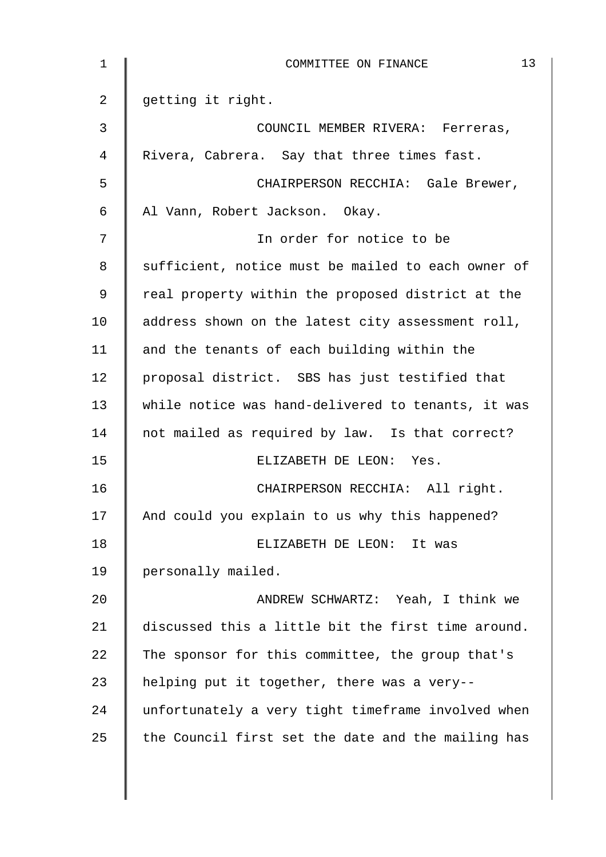| 1              | 13<br>COMMITTEE ON FINANCE                         |
|----------------|----------------------------------------------------|
| 2              | getting it right.                                  |
| $\mathfrak{Z}$ | COUNCIL MEMBER RIVERA: Ferreras,                   |
| 4              | Rivera, Cabrera. Say that three times fast.        |
| 5              | CHAIRPERSON RECCHIA: Gale Brewer,                  |
| 6              | Al Vann, Robert Jackson. Okay.                     |
| 7              | In order for notice to be                          |
| 8              | sufficient, notice must be mailed to each owner of |
| 9              | real property within the proposed district at the  |
| 10             | address shown on the latest city assessment roll,  |
| 11             | and the tenants of each building within the        |
| 12             | proposal district. SBS has just testified that     |
| 13             | while notice was hand-delivered to tenants, it was |
| 14             | not mailed as required by law. Is that correct?    |
| 15             | ELIZABETH DE LEON: Yes.                            |
| 16             | CHAIRPERSON RECCHIA: All right.                    |
| 17             | And could you explain to us why this happened?     |
| 18             | ELIZABETH DE LEON:<br>It was                       |
| 19             | personally mailed.                                 |
| 20             | ANDREW SCHWARTZ: Yeah, I think we                  |
| 21             | discussed this a little bit the first time around. |
| 22             | The sponsor for this committee, the group that's   |
| 23             | helping put it together, there was a very--        |
| 24             | unfortunately a very tight timeframe involved when |
| 25             | the Council first set the date and the mailing has |
|                |                                                    |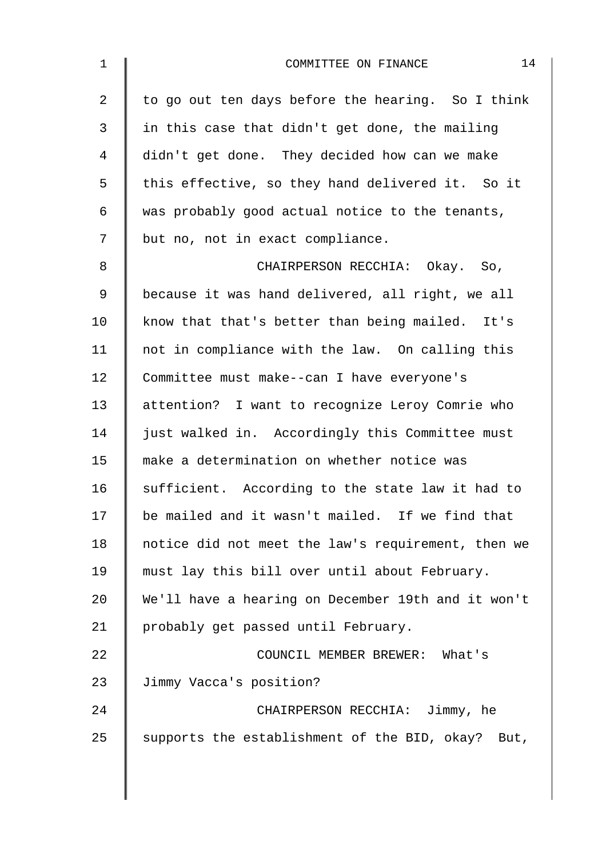| $\mathbf 1$ | 14<br>COMMITTEE ON FINANCE                         |
|-------------|----------------------------------------------------|
| 2           | to go out ten days before the hearing. So I think  |
| 3           | in this case that didn't get done, the mailing     |
| 4           | didn't get done. They decided how can we make      |
| 5           | this effective, so they hand delivered it. So it   |
| 6           | was probably good actual notice to the tenants,    |
| 7           | but no, not in exact compliance.                   |
| 8           | CHAIRPERSON RECCHIA: Okay. So,                     |
| 9           | because it was hand delivered, all right, we all   |
| 10          | know that that's better than being mailed. It's    |
| 11          | not in compliance with the law. On calling this    |
| 12          | Committee must make--can I have everyone's         |
| 13          | attention? I want to recognize Leroy Comrie who    |
| 14          | just walked in. Accordingly this Committee must    |
| 15          | make a determination on whether notice was         |
| 16          | sufficient. According to the state law it had to   |
| 17          | be mailed and it wasn't mailed. If we find that    |
| 18          | notice did not meet the law's requirement, then we |
| 19          | must lay this bill over until about February.      |
| 20          | We'll have a hearing on December 19th and it won't |
| 21          | probably get passed until February.                |
| 22          | COUNCIL MEMBER BREWER: What's                      |
| 23          | Jimmy Vacca's position?                            |
| 24          | CHAIRPERSON RECCHIA: Jimmy, he                     |
| 25          | supports the establishment of the BID, okay? But,  |
|             |                                                    |
|             |                                                    |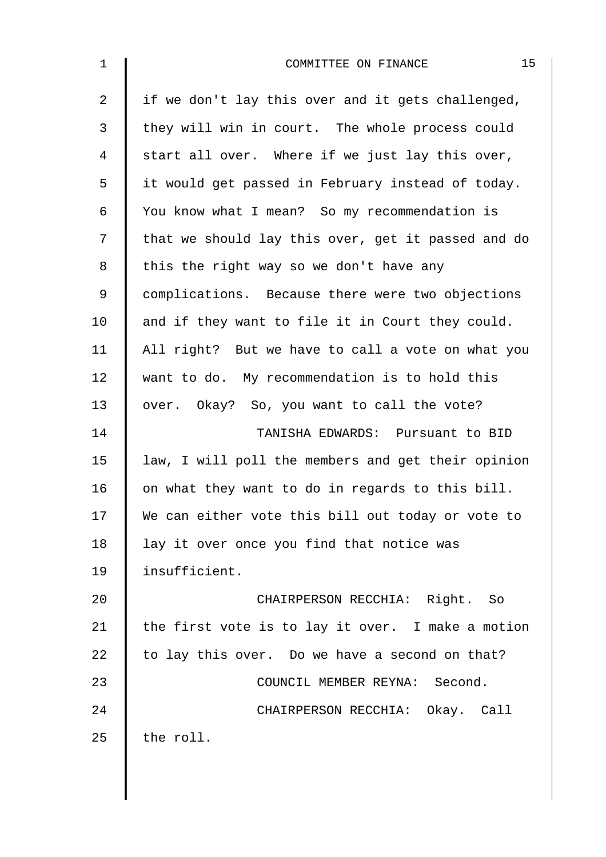| $\mathbf 1$    | 15<br>COMMITTEE ON FINANCE                         |
|----------------|----------------------------------------------------|
| $\overline{2}$ | if we don't lay this over and it gets challenged,  |
| 3              | they will win in court. The whole process could    |
| 4              | start all over. Where if we just lay this over,    |
| 5              | it would get passed in February instead of today.  |
| $\epsilon$     | You know what I mean? So my recommendation is      |
| 7              | that we should lay this over, get it passed and do |
| 8              | this the right way so we don't have any            |
| $\mathsf 9$    | complications. Because there were two objections   |
| 10             | and if they want to file it in Court they could.   |
| 11             | All right? But we have to call a vote on what you  |
| 12             | want to do. My recommendation is to hold this      |
| 13             | over. Okay? So, you want to call the vote?         |
| 14             | TANISHA EDWARDS: Pursuant to BID                   |
| 15             | law, I will poll the members and get their opinion |
| 16             | on what they want to do in regards to this bill.   |
| 17             | We can either vote this bill out today or vote to  |
| 18             | lay it over once you find that notice was          |
| 19             | insufficient.                                      |
| 20             | CHAIRPERSON RECCHIA: Right. So                     |
| 21             | the first vote is to lay it over. I make a motion  |
| 22             | to lay this over. Do we have a second on that?     |
| 23             | COUNCIL MEMBER REYNA: Second.                      |
| 24             | CHAIRPERSON RECCHIA: Okay. Call                    |
| 25             | the roll.                                          |
|                |                                                    |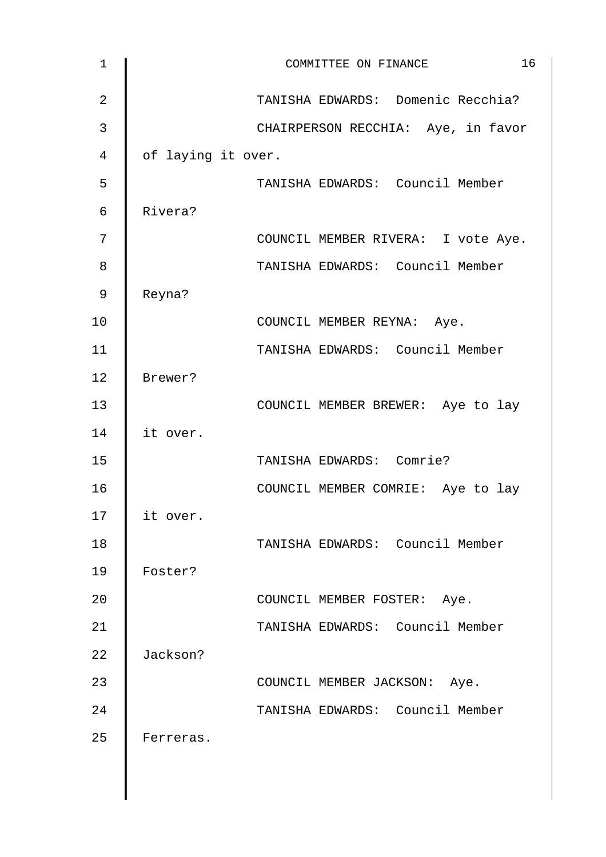| $\mathbf{1}$   | 16<br>COMMITTEE ON FINANCE         |
|----------------|------------------------------------|
| $\overline{2}$ | TANISHA EDWARDS: Domenic Recchia?  |
| 3              | CHAIRPERSON RECCHIA: Aye, in favor |
| 4              | of laying it over.                 |
| 5              | TANISHA EDWARDS: Council Member    |
| $\epsilon$     | Rivera?                            |
| 7              | COUNCIL MEMBER RIVERA: I vote Aye. |
| 8              | TANISHA EDWARDS: Council Member    |
| 9              | Reyna?                             |
| 10             | COUNCIL MEMBER REYNA: Aye.         |
| 11             | TANISHA EDWARDS: Council Member    |
| 12             | Brewer?                            |
| 13             | COUNCIL MEMBER BREWER: Aye to lay  |
| 14             | it over.                           |
| 15             | TANISHA EDWARDS: Comrie?           |
| 16             | COUNCIL MEMBER COMRIE: Aye to lay  |
| 17             | it over.                           |
| 18             | TANISHA EDWARDS: Council Member    |
| 19             | Foster?                            |
| 20             | COUNCIL MEMBER FOSTER: Aye.        |
| 21             | TANISHA EDWARDS: Council Member    |
| 22             | Jackson?                           |
| 23             | COUNCIL MEMBER JACKSON: Aye.       |
| 24             | TANISHA EDWARDS: Council Member    |
| 25             | Ferreras.                          |
|                |                                    |
|                |                                    |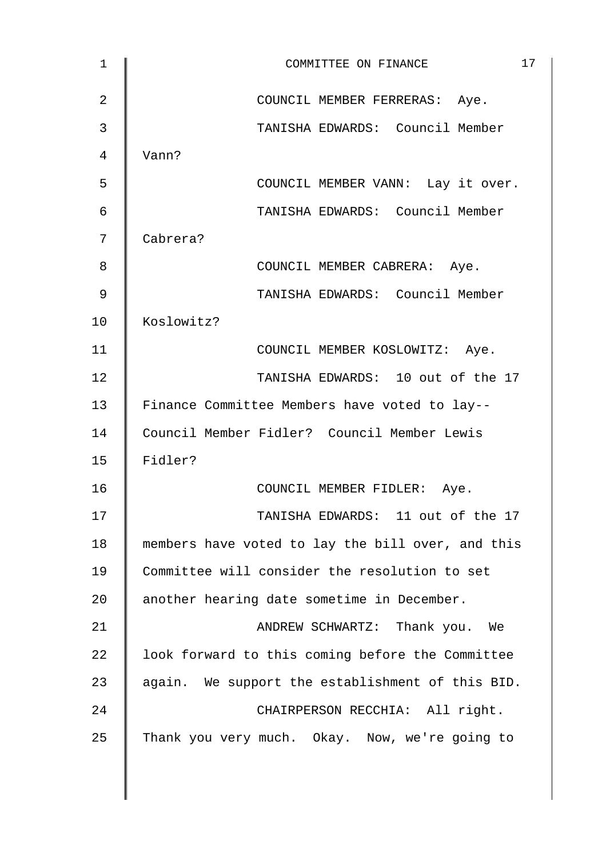| 1              | 17<br>COMMITTEE ON FINANCE                        |
|----------------|---------------------------------------------------|
| $\overline{2}$ | COUNCIL MEMBER FERRERAS: Aye.                     |
| 3              | TANISHA EDWARDS: Council Member                   |
| 4              | Vann?                                             |
| 5              | COUNCIL MEMBER VANN: Lay it over.                 |
| 6              | TANISHA EDWARDS: Council Member                   |
| 7              | Cabrera?                                          |
| 8              | COUNCIL MEMBER CABRERA: Aye.                      |
| 9              | TANISHA EDWARDS: Council Member                   |
| 10             | Koslowitz?                                        |
| 11             | COUNCIL MEMBER KOSLOWITZ: Aye.                    |
| 12             | TANISHA EDWARDS: 10 out of the 17                 |
| 13             | Finance Committee Members have voted to lay--     |
| 14             | Council Member Fidler? Council Member Lewis       |
| 15             | Fidler?                                           |
| 16             | COUNCIL MEMBER FIDLER: Aye.                       |
| 17             | TANISHA EDWARDS: 11 out of the 17                 |
| 18             | members have voted to lay the bill over, and this |
| 19             | Committee will consider the resolution to set     |
| 20             | another hearing date sometime in December.        |
| 21             | ANDREW SCHWARTZ: Thank you. We                    |
| 22             | look forward to this coming before the Committee  |
| 23             | again. We support the establishment of this BID.  |
| 24             | CHAIRPERSON RECCHIA: All right.                   |
| 25             | Thank you very much. Okay. Now, we're going to    |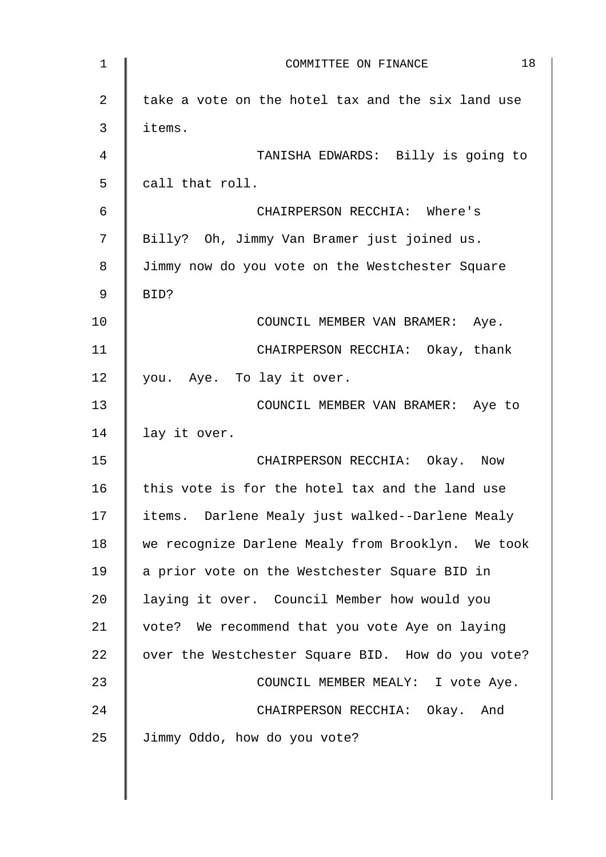| 1  | 18<br>COMMITTEE ON FINANCE                        |
|----|---------------------------------------------------|
| 2  | take a vote on the hotel tax and the six land use |
| 3  | items.                                            |
| 4  | TANISHA EDWARDS: Billy is going to                |
| 5  | call that roll.                                   |
| 6  | CHAIRPERSON RECCHIA: Where's                      |
| 7  | Billy? Oh, Jimmy Van Bramer just joined us.       |
| 8  | Jimmy now do you vote on the Westchester Square   |
| 9  | BID?                                              |
| 10 | COUNCIL MEMBER VAN BRAMER: Aye.                   |
| 11 | CHAIRPERSON RECCHIA: Okay, thank                  |
| 12 | you. Aye. To lay it over.                         |
| 13 | COUNCIL MEMBER VAN BRAMER: Aye to                 |
| 14 | lay it over.                                      |
| 15 | CHAIRPERSON RECCHIA: Okay. Now                    |
| 16 | this vote is for the hotel tax and the land use   |
| 17 | items. Darlene Mealy just walked--Darlene Mealy   |
| 18 | we recognize Darlene Mealy from Brooklyn. We took |
| 19 | a prior vote on the Westchester Square BID in     |
| 20 | laying it over. Council Member how would you      |
| 21 | vote? We recommend that you vote Aye on laying    |
| 22 | over the Westchester Square BID. How do you vote? |
| 23 | COUNCIL MEMBER MEALY: I vote Aye.                 |
| 24 | CHAIRPERSON RECCHIA: Okay. And                    |
| 25 | Jimmy Oddo, how do you vote?                      |
|    |                                                   |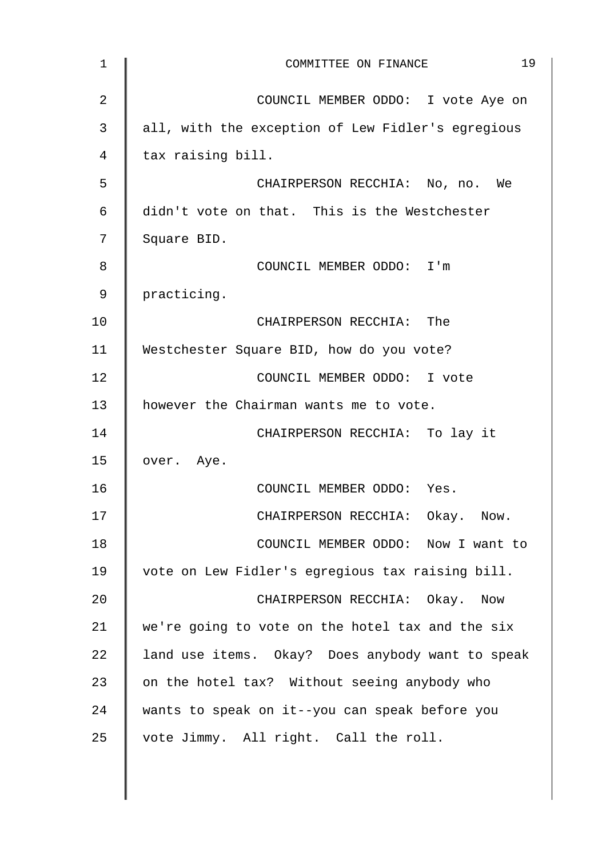| 1  | 19<br>COMMITTEE ON FINANCE                        |
|----|---------------------------------------------------|
| 2  | COUNCIL MEMBER ODDO: I vote Aye on                |
| 3  | all, with the exception of Lew Fidler's egregious |
| 4  | tax raising bill.                                 |
| 5  | CHAIRPERSON RECCHIA: No, no. We                   |
| 6  | didn't vote on that. This is the Westchester      |
| 7  | Square BID.                                       |
| 8  | COUNCIL MEMBER ODDO: I'm                          |
| 9  | practicing.                                       |
| 10 | CHAIRPERSON RECCHIA: The                          |
| 11 | Westchester Square BID, how do you vote?          |
| 12 | COUNCIL MEMBER ODDO: I vote                       |
| 13 | however the Chairman wants me to vote.            |
| 14 | CHAIRPERSON RECCHIA: To lay it                    |
| 15 | over. Aye.                                        |
| 16 | COUNCIL MEMBER ODDO: Yes.                         |
| 17 | CHAIRPERSON RECCHIA: Okay. Now.                   |
| 18 | COUNCIL MEMBER ODDO: Now I want to                |
| 19 | vote on Lew Fidler's egregious tax raising bill.  |
| 20 | CHAIRPERSON RECCHIA: Okay. Now                    |
| 21 | we're going to vote on the hotel tax and the six  |
| 22 | land use items. Okay? Does anybody want to speak  |
| 23 | on the hotel tax? Without seeing anybody who      |
| 24 | wants to speak on it--you can speak before you    |
| 25 | vote Jimmy. All right. Call the roll.             |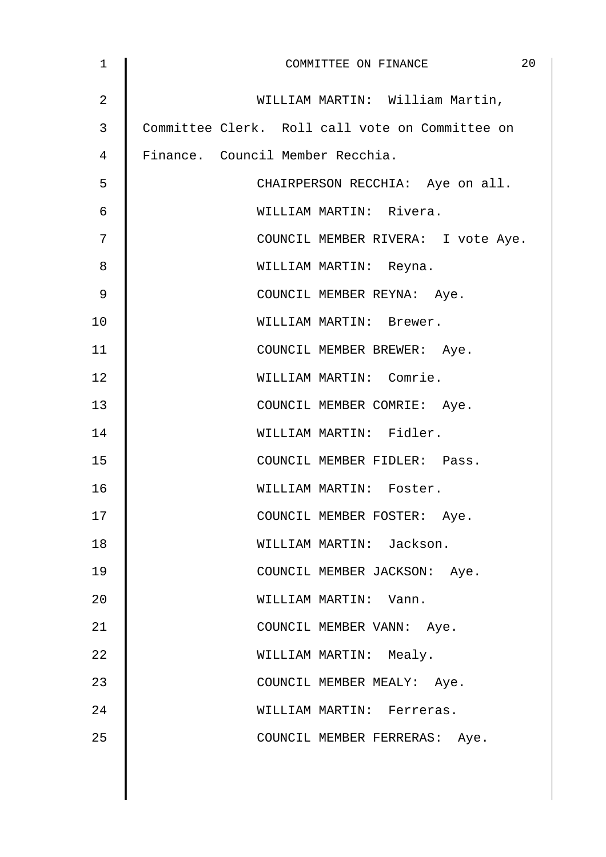| $\mathbf 1$ | 20<br>COMMITTEE ON FINANCE                      |
|-------------|-------------------------------------------------|
| 2           | WILLIAM MARTIN: William Martin,                 |
| 3           | Committee Clerk. Roll call vote on Committee on |
| 4           | Finance. Council Member Recchia.                |
| 5           | CHAIRPERSON RECCHIA: Aye on all.                |
| 6           | WILLIAM MARTIN: Rivera.                         |
| 7           | COUNCIL MEMBER RIVERA: I vote Aye.              |
| 8           | WILLIAM MARTIN: Reyna.                          |
| 9           | COUNCIL MEMBER REYNA: Aye.                      |
| 10          | WILLIAM MARTIN: Brewer.                         |
| 11          | COUNCIL MEMBER BREWER: Aye.                     |
| 12          | WILLIAM MARTIN: Comrie.                         |
| 13          | COUNCIL MEMBER COMRIE: Aye.                     |
| 14          | WILLIAM MARTIN: Fidler.                         |
| 15          | COUNCIL MEMBER FIDLER: Pass.                    |
| 16          | WILLIAM MARTIN: Foster.                         |
| 17          | COUNCIL MEMBER FOSTER: Aye.                     |
| 18          | WILLIAM MARTIN: Jackson.                        |
| 19          | COUNCIL MEMBER JACKSON: Aye.                    |
| 20          | WILLIAM MARTIN: Vann.                           |
| 21          | COUNCIL MEMBER VANN: Aye.                       |
| 22          | WILLIAM MARTIN: Mealy.                          |
| 23          | COUNCIL MEMBER MEALY: Aye.                      |
| 24          | WILLIAM MARTIN: Ferreras.                       |
| 25          | COUNCIL MEMBER FERRERAS: Aye.                   |
|             |                                                 |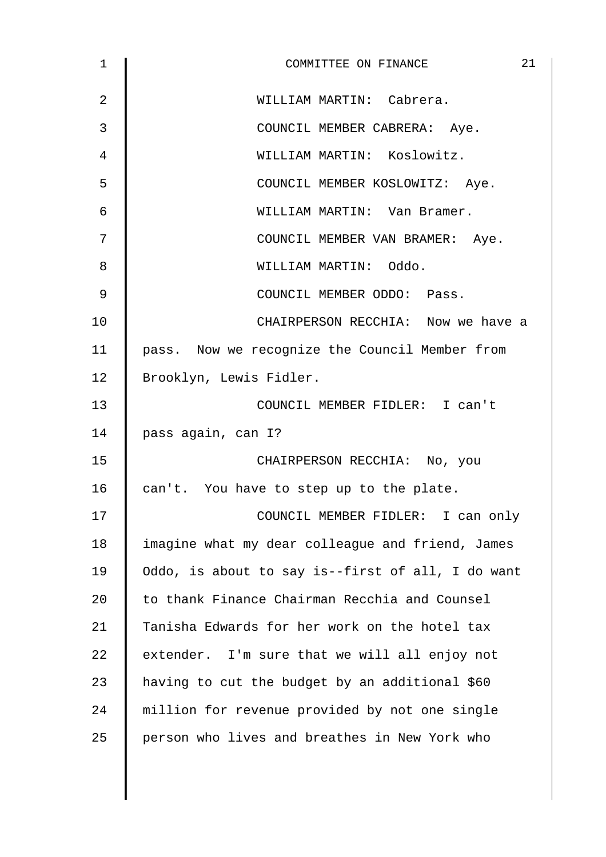| 1              | 21<br>COMMITTEE ON FINANCE                        |
|----------------|---------------------------------------------------|
| $\overline{2}$ | WILLIAM MARTIN: Cabrera.                          |
| 3              | COUNCIL MEMBER CABRERA: Aye.                      |
| 4              | WILLIAM MARTIN: Koslowitz.                        |
| 5              | COUNCIL MEMBER KOSLOWITZ: Aye.                    |
| 6              | WILLIAM MARTIN: Van Bramer.                       |
| 7              | COUNCIL MEMBER VAN BRAMER: Aye.                   |
| 8              | WILLIAM MARTIN: Oddo.                             |
| 9              | COUNCIL MEMBER ODDO: Pass.                        |
| 10             | CHAIRPERSON RECCHIA: Now we have a                |
| 11             | pass. Now we recognize the Council Member from    |
| 12             | Brooklyn, Lewis Fidler.                           |
| 13             | COUNCIL MEMBER FIDLER: I can't                    |
| 14             | pass again, can I?                                |
| 15             | CHAIRPERSON RECCHIA: No, you                      |
| 16             | can't. You have to step up to the plate.          |
| 17             | COUNCIL MEMBER FIDLER: I can only                 |
| 18             | imagine what my dear colleague and friend, James  |
| 19             | Oddo, is about to say is--first of all, I do want |
| 20             | to thank Finance Chairman Recchia and Counsel     |
| 21             | Tanisha Edwards for her work on the hotel tax     |
| 22             | extender. I'm sure that we will all enjoy not     |
| 23             | having to cut the budget by an additional \$60    |
| 24             | million for revenue provided by not one single    |
| 25             | person who lives and breathes in New York who     |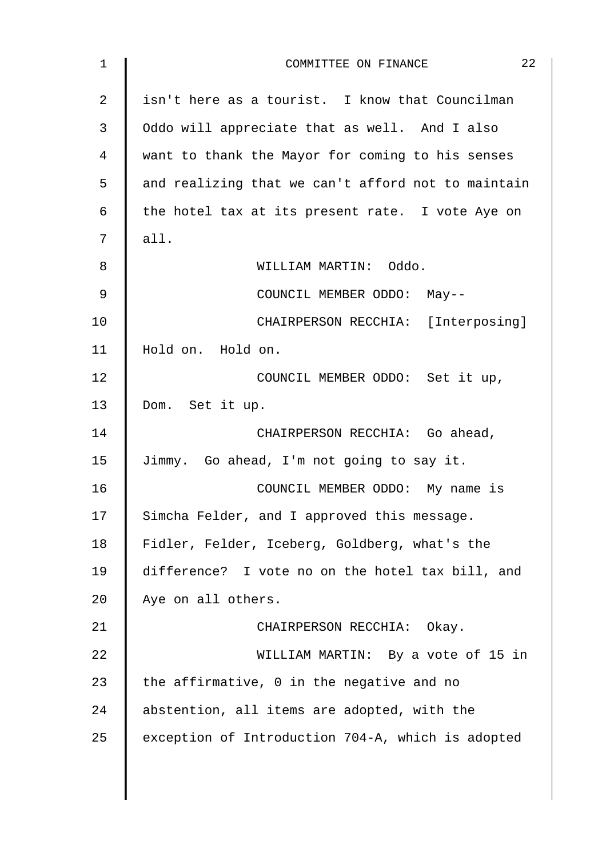| 1  | 22<br>COMMITTEE ON FINANCE                         |
|----|----------------------------------------------------|
| 2  | isn't here as a tourist. I know that Councilman    |
| 3  | Oddo will appreciate that as well. And I also      |
| 4  | want to thank the Mayor for coming to his senses   |
| 5  | and realizing that we can't afford not to maintain |
| 6  | the hotel tax at its present rate. I vote Aye on   |
| 7  | all.                                               |
| 8  | WILLIAM MARTIN: Oddo.                              |
| 9  | COUNCIL MEMBER ODDO: May--                         |
| 10 | CHAIRPERSON RECCHIA: [Interposing]                 |
| 11 | Hold on. Hold on.                                  |
| 12 | COUNCIL MEMBER ODDO: Set it up,                    |
| 13 | Dom. Set it up.                                    |
| 14 | CHAIRPERSON RECCHIA: Go ahead,                     |
| 15 | Jimmy. Go ahead, I'm not going to say it.          |
| 16 | COUNCIL MEMBER ODDO: My name is                    |
| 17 | Simcha Felder, and I approved this message.        |
| 18 | Fidler, Felder, Iceberg, Goldberg, what's the      |
| 19 | difference? I vote no on the hotel tax bill, and   |
| 20 | Aye on all others.                                 |
| 21 | CHAIRPERSON RECCHIA: Okay.                         |
| 22 | WILLIAM MARTIN: By a vote of 15 in                 |
| 23 | the affirmative, 0 in the negative and no          |
| 24 | abstention, all items are adopted, with the        |
| 25 | exception of Introduction 704-A, which is adopted  |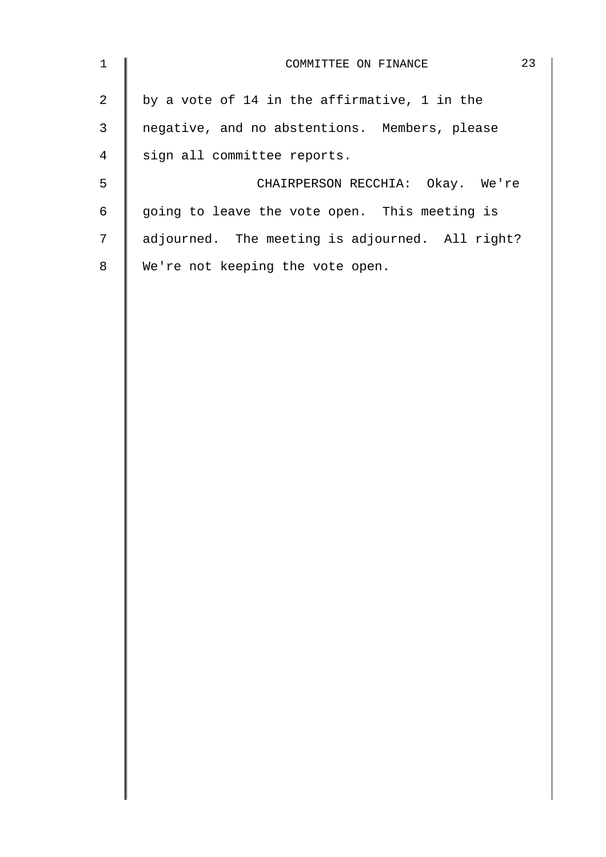| $\mathbf 1$    | 23<br>COMMITTEE ON FINANCE                      |
|----------------|-------------------------------------------------|
| $\overline{a}$ | by a vote of 14 in the affirmative, 1 in the    |
| $\mathfrak{Z}$ | negative, and no abstentions. Members, please   |
| $\overline{4}$ | sign all committee reports.                     |
| 5              | CHAIRPERSON RECCHIA: Okay. We're                |
| $\epsilon$     | going to leave the vote open. This meeting is   |
| $\overline{7}$ | adjourned. The meeting is adjourned. All right? |
| $\,8\,$        | We're not keeping the vote open.                |
|                |                                                 |
|                |                                                 |
|                |                                                 |
|                |                                                 |
|                |                                                 |
|                |                                                 |
|                |                                                 |
|                |                                                 |
|                |                                                 |
|                |                                                 |
|                |                                                 |
|                |                                                 |
|                |                                                 |
|                |                                                 |
|                |                                                 |
|                |                                                 |
|                |                                                 |
|                |                                                 |
|                |                                                 |